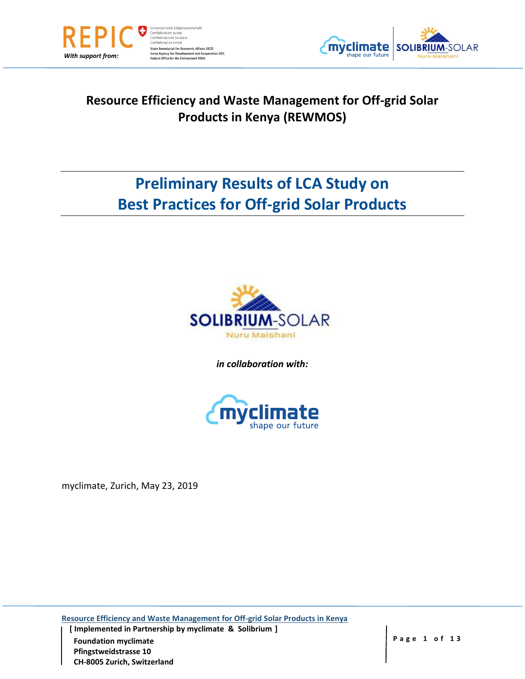



## **Resource Efficiency and Waste Management for Off-grid Solar Products in Kenya (REWMOS)**

# **Preliminary Results of LCA Study on Best Practices for Off-grid Solar Products**



*in collaboration with:*



myclimate, Zurich, May 23, 2019

**Resource Efficiency and Waste Management for Off-grid Solar Products in Kenya**

 **[ Implemented in Partnership by myclimate & Solibrium ] Foundation myclimate All 2 Page 1 of 13 Pfingstweidstrasse 10 CH-8005 Zurich, Switzerland**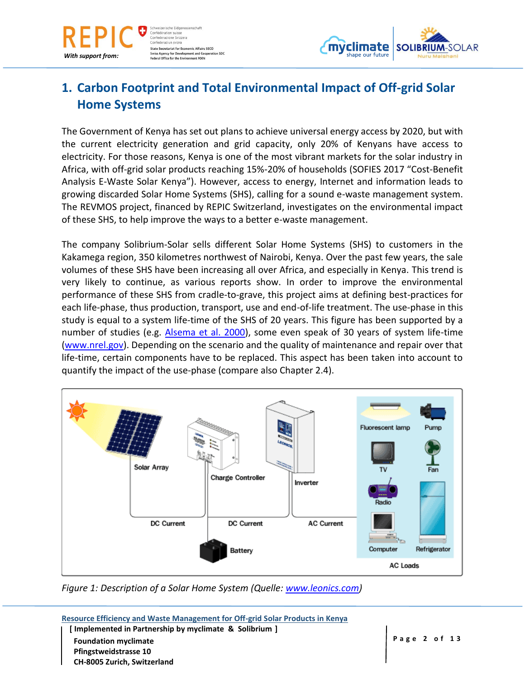

weizerische Eidgeno Confédération suisse Confederazione Svizzera Confederaziun svizra **State Secretariat for Economic Affairs SECO** Swiss Agency for Development and Cooperation SDC<br>Federal Office for the Environment FOEN



## **1. Carbon Footprint and Total Environmental Impact of Off-grid Solar Home Systems**

The Government of Kenya has set out plans to achieve universal energy access by 2020, but with the current electricity generation and grid capacity, only 20% of Kenyans have access to electricity. For those reasons, Kenya is one of the most vibrant markets for the solar industry in Africa, with off-grid solar products reaching 15%-20% of households (SOFIES 2017 "Cost-Benefit Analysis E-Waste Solar Kenya"). However, access to energy, Internet and information leads to growing discarded Solar Home Systems (SHS), calling for a sound e-waste management system. The REVMOS project, financed by REPIC Switzerland, investigates on the environmental impact of these SHS, to help improve the ways to a better e-waste management.

The company Solibrium-Solar sells different Solar Home Systems (SHS) to customers in the Kakamega region, 350 kilometres northwest of Nairobi, Kenya. Over the past few years, the sale volumes of these SHS have been increasing all over Africa, and especially in Kenya. This trend is very likely to continue, as various reports show. In order to improve the environmental performance of these SHS from cradle-to-grave, this project aims at defining best-practices for each life-phase, thus production, transport, use and end-of-life treatment. The use-phase in this study is equal to a system life-time of the SHS of 20 years. This figure has been supported by a number of studies (e.g. [Alsema et al. 2000\)](https://www.researchgate.net/publication/266339822_Environmental_Life_Cycle_Assessment_of_Solar_Home_Systems), some even speak of 30 years of system life-time [\(www.nrel.gov\)](http://www.nrel.gov/). Depending on the scenario and the quality of maintenance and repair over that life-time, certain components have to be replaced. This aspect has been taken into account to quantify the impact of the use-phase (compare also Chapter 2.4).



*Figure 1: Description of a Solar Home System (Quelle: [www.leonics.com\)](http://www.leonics.com/)*

**Resource Efficiency and Waste Management for Off-grid Solar Products in Kenya [ Implemented in Partnership by myclimate & Solibrium ] Foundation myclimate All 2 Page 2 of 13 Pfingstweidstrasse 10 CH-8005 Zurich, Switzerland**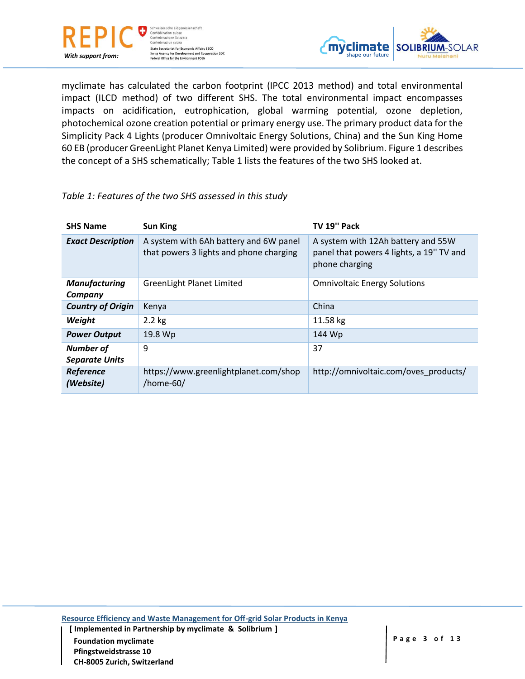![](_page_2_Picture_0.jpeg)

![](_page_2_Picture_1.jpeg)

myclimate has calculated the carbon footprint (IPCC 2013 method) and total environmental impact (ILCD method) of two different SHS. The total environmental impact encompasses impacts on acidification, eutrophication, global warming potential, ozone depletion, photochemical ozone creation potential or primary energy use. The primary product data for the Simplicity Pack 4 Lights (producer Omnivoltaic Energy Solutions, China) and the Sun King Home 60 EB (producer GreenLight Planet Kenya Limited) were provided by Solibrium. Figure 1 describes the concept of a SHS schematically; Table 1 lists the features of the two SHS looked at.

#### *Table 1: Features of the two SHS assessed in this study*

| <b>SHS Name</b>                           | <b>Sun King</b>                                                                   | TV 19" Pack                                                                                      |
|-------------------------------------------|-----------------------------------------------------------------------------------|--------------------------------------------------------------------------------------------------|
| <b>Exact Description</b>                  | A system with 6Ah battery and 6W panel<br>that powers 3 lights and phone charging | A system with 12Ah battery and 55W<br>panel that powers 4 lights, a 19" TV and<br>phone charging |
| <b>Manufacturing</b><br>Company           | <b>GreenLight Planet Limited</b>                                                  | <b>Omnivoltaic Energy Solutions</b>                                                              |
| <b>Country of Origin</b>                  | Kenya                                                                             | China                                                                                            |
| Weight                                    | $2.2$ kg                                                                          | 11.58 kg                                                                                         |
| <b>Power Output</b>                       | 19.8 Wp                                                                           | 144 Wp                                                                                           |
| <b>Number of</b><br><b>Separate Units</b> | 9                                                                                 | 37                                                                                               |
| Reference<br>(Website)                    | https://www.greenlightplanet.com/shop<br>/home-60/                                | http://omnivoltaic.com/oves_products/                                                            |

**Resource Efficiency and Waste Management for Off-grid Solar Products in Kenya**

 **[ Implemented in Partnership by myclimate & Solibrium ] Foundation myclimate All 2 Page 3** of 13 **Pfingstweidstrasse 10 CH-8005 Zurich, Switzerland**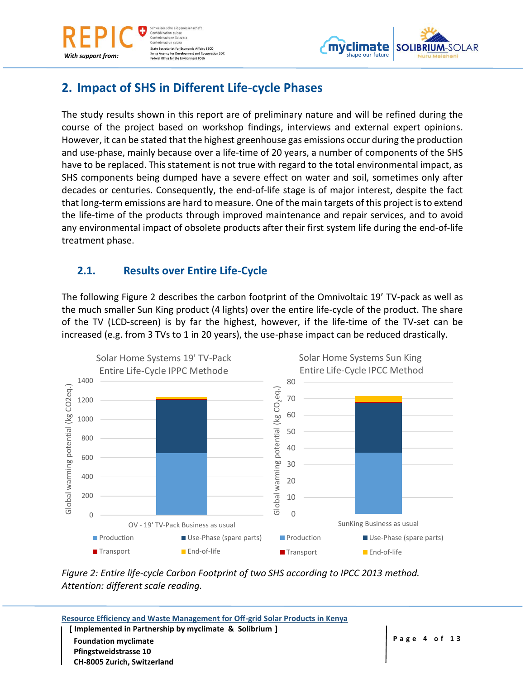![](_page_3_Picture_0.jpeg)

*With support from:*

![](_page_3_Picture_1.jpeg)

## **2. Impact of SHS in Different Life-cycle Phases**

The study results shown in this report are of preliminary nature and will be refined during the course of the project based on workshop findings, interviews and external expert opinions. However, it can be stated that the highest greenhouse gas emissions occur during the production and use-phase, mainly because over a life-time of 20 years, a number of components of the SHS have to be replaced. This statement is not true with regard to the total environmental impact, as SHS components being dumped have a severe effect on water and soil, sometimes only after decades or centuries. Consequently, the end-of-life stage is of major interest, despite the fact that long-term emissions are hard to measure. One of the main targets of this project is to extend the life-time of the products through improved maintenance and repair services, and to avoid any environmental impact of obsolete products after their first system life during the end-of-life treatment phase.

### **2.1. Results over Entire Life-Cycle**

The following Figure 2 describes the carbon footprint of the Omnivoltaic 19' TV-pack as well as the much smaller Sun King product (4 lights) over the entire life-cycle of the product. The share of the TV (LCD-screen) is by far the highest, however, if the life-time of the TV-set can be increased (e.g. from 3 TVs to 1 in 20 years), the use-phase impact can be reduced drastically.

![](_page_3_Figure_6.jpeg)

*Figure 2: Entire life-cycle Carbon Footprint of two SHS according to IPCC 2013 method. Attention: different scale reading.*

| Resource Efficiency and Waste Management for Off-grid Solar Products in Kenya |              |
|-------------------------------------------------------------------------------|--------------|
| [Implemented in Partnership by myclimate & Solibrium ]                        |              |
| <b>Foundation myclimate</b>                                                   | Page 4 of 13 |
| <b>Pfingstweidstrasse 10</b>                                                  |              |
| <b>CH-8005 Zurich, Switzerland</b>                                            |              |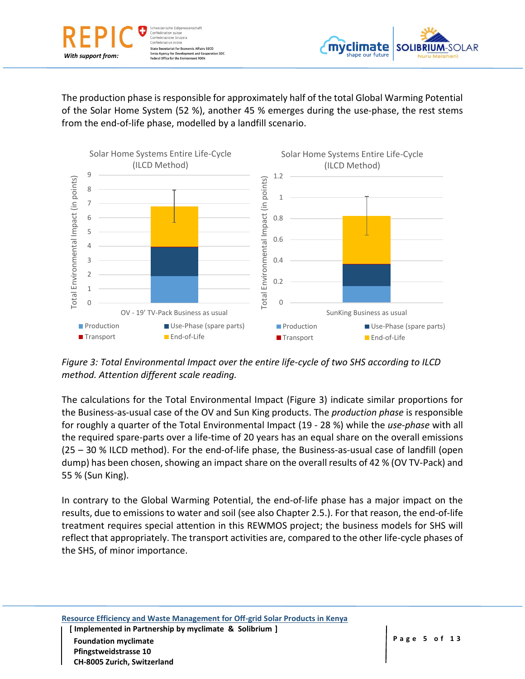![](_page_4_Picture_0.jpeg)

![](_page_4_Picture_1.jpeg)

The production phase is responsible for approximately half of the total Global Warming Potential of the Solar Home System (52 %), another 45 % emerges during the use-phase, the rest stems from the end-of-life phase, modelled by a landfill scenario.

![](_page_4_Figure_3.jpeg)

*Figure 3: Total Environmental Impact over the entire life-cycle of two SHS according to ILCD method. Attention different scale reading.*

The calculations for the Total Environmental Impact (Figure 3) indicate similar proportions for the Business-as-usual case of the OV and Sun King products. The *production phase* is responsible for roughly a quarter of the Total Environmental Impact (19 - 28 %) while the *use-phase* with all the required spare-parts over a life-time of 20 years has an equal share on the overall emissions (25 – 30 % ILCD method). For the end-of-life phase, the Business-as-usual case of landfill (open dump) has been chosen, showing an impact share on the overall results of 42 % (OV TV-Pack) and 55 % (Sun King).

In contrary to the Global Warming Potential, the end-of-life phase has a major impact on the results, due to emissions to water and soil (see also Chapter 2.5.). For that reason, the end-of-life treatment requires special attention in this REWMOS project; the business models for SHS will reflect that appropriately. The transport activities are, compared to the other life-cycle phases of the SHS, of minor importance.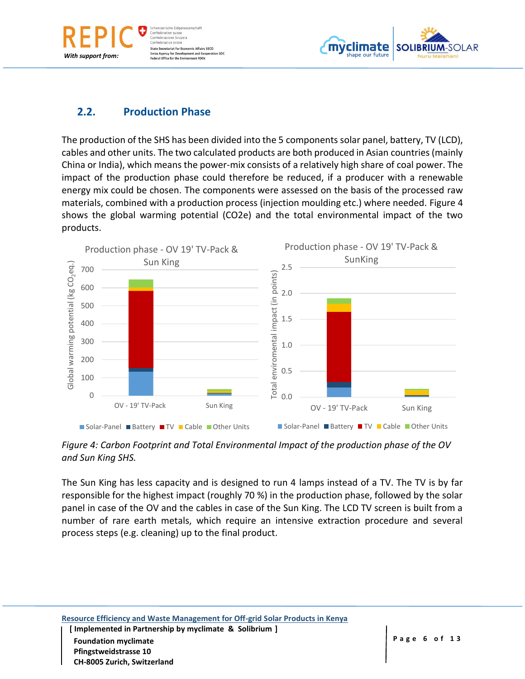reizerische Eidger Confédération suisse Confederazione Svizzera Confederaziun svizra **State Secretariat for Economic Affairs SECO Swiss Agency for Development and Cooperation SDC**<br>Federal Office for the Environment FOEN

![](_page_5_Picture_1.jpeg)

#### **2.2. Production Phase**

*With support from:*

The production of the SHS has been divided into the 5 components solar panel, battery, TV (LCD), cables and other units. The two calculated products are both produced in Asian countries (mainly China or India), which means the power-mix consists of a relatively high share of coal power. The impact of the production phase could therefore be reduced, if a producer with a renewable energy mix could be chosen. The components were assessed on the basis of the processed raw materials, combined with a production process (injection moulding etc.) where needed. Figure 4 shows the global warming potential (CO2e) and the total environmental impact of the two products.

![](_page_5_Figure_4.jpeg)

*Figure 4: Carbon Footprint and Total Environmental Impact of the production phase of the OV and Sun King SHS.*

The Sun King has less capacity and is designed to run 4 lamps instead of a TV. The TV is by far responsible for the highest impact (roughly 70 %) in the production phase, followed by the solar panel in case of the OV and the cables in case of the Sun King. The LCD TV screen is built from a number of rare earth metals, which require an intensive extraction procedure and several process steps (e.g. cleaning) up to the final product.

 **[ Implemented in Partnership by myclimate & Solibrium ] Foundation myclimate All 2 Page 6 of 13 Pfingstweidstrasse 10 CH-8005 Zurich, Switzerland**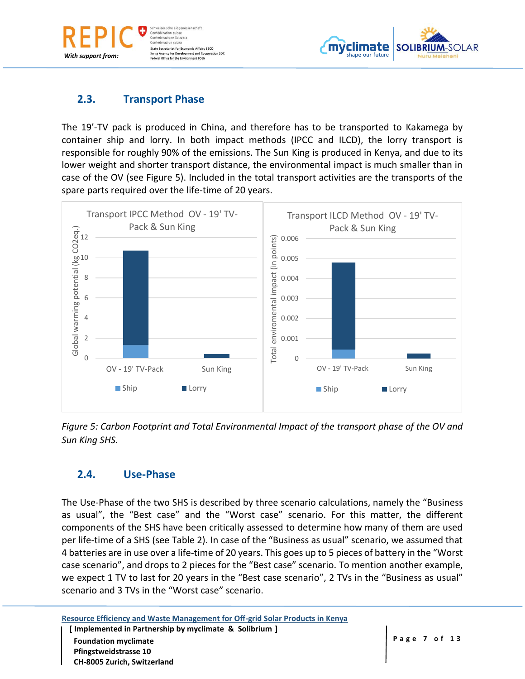weizerische Eidgen Confédération suisse Confederazione Svizzera Confederaziun svizra **State Secretariat for Economic Affairs SECO Swiss Agency for Development and Cooperation SDC**<br>Federal Office for the Environment FOEN

![](_page_6_Picture_1.jpeg)

#### **2.3. Transport Phase**

*With support from:*

The 19'-TV pack is produced in China, and therefore has to be transported to Kakamega by container ship and lorry. In both impact methods (IPCC and ILCD), the lorry transport is responsible for roughly 90% of the emissions. The Sun King is produced in Kenya, and due to its lower weight and shorter transport distance, the environmental impact is much smaller than in case of the OV (see Figure 5). Included in the total transport activities are the transports of the spare parts required over the life-time of 20 years.

![](_page_6_Figure_4.jpeg)

*Figure 5: Carbon Footprint and Total Environmental Impact of the transport phase of the OV and Sun King SHS.*

#### **2.4. Use-Phase**

**CH-8005 Zurich, Switzerland**

The Use-Phase of the two SHS is described by three scenario calculations, namely the "Business as usual", the "Best case" and the "Worst case" scenario. For this matter, the different components of the SHS have been critically assessed to determine how many of them are used per life-time of a SHS (see Table 2). In case of the "Business as usual" scenario, we assumed that 4 batteries are in use over a life-time of 20 years. This goes up to 5 pieces of battery in the "Worst case scenario", and drops to 2 pieces for the "Best case" scenario. To mention another example, we expect 1 TV to last for 20 years in the "Best case scenario", 2 TVs in the "Business as usual" scenario and 3 TVs in the "Worst case" scenario.

**Resource Efficiency and Waste Management for Off-grid Solar Products in Kenya [ Implemented in Partnership by myclimate & Solibrium ] Foundation myclimate All 2 Page 7 of 13 Pfingstweidstrasse 10**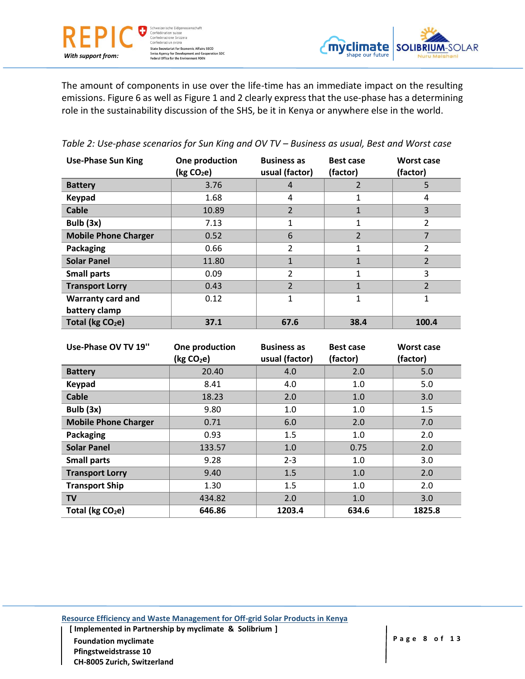Schweizerische Eidgenossenschaft Schweizerische Eidgenoss<br>Confédération suisse<br>Confederazione Svizzera<br>Confederaziun svizra State Secretariat for Economic Affairs SECO<br>Swiss Agency for Development and Cooperation SDC<br>Federal Office for the Environment FOEN

*With support from:*

![](_page_7_Picture_1.jpeg)

The amount of components in use over the life-time has an immediate impact on the resulting emissions. Figure 6 as well as Figure 1 and 2 clearly express that the use-phase has a determining role in the sustainability discussion of the SHS, be it in Kenya or anywhere else in the world.

*Table 2: Use-phase scenarios for Sun King and OV TV – Business as usual, Best and Worst case*

| <b>Use-Phase Sun King</b>    | One production<br>(kg CO <sub>2</sub> e) | <b>Business as</b><br>usual (factor) | <b>Best case</b><br>(factor) | <b>Worst case</b><br>(factor) |
|------------------------------|------------------------------------------|--------------------------------------|------------------------------|-------------------------------|
| <b>Battery</b>               | 3.76                                     | 4                                    | 2                            | 5                             |
| <b>Keypad</b>                | 1.68                                     | 4                                    |                              | 4                             |
| <b>Cable</b>                 | 10.89                                    | $\overline{2}$                       | T                            | 3                             |
| Bulb $(3x)$                  | 7.13                                     | 1                                    |                              | 2                             |
| <b>Mobile Phone Charger</b>  | 0.52                                     | 6                                    | $\overline{2}$               | 7                             |
| Packaging                    | 0.66                                     | 2                                    |                              | 2                             |
| <b>Solar Panel</b>           | 11.80                                    | $\mathbf{1}$                         | ш                            | $\overline{2}$                |
| <b>Small parts</b>           | 0.09                                     | 2                                    |                              | 3                             |
| <b>Transport Lorry</b>       | 0.43                                     | $\overline{\phantom{a}}$             |                              | $\overline{2}$                |
| <b>Warranty card and</b>     | 0.12                                     | 1                                    |                              | 1                             |
| battery clamp                |                                          |                                      |                              |                               |
| Total (kg CO <sub>2</sub> e) | 37.1                                     | 67.6                                 | 38.4                         | 100.4                         |

| Use-Phase OV TV 19"          | One production<br>(kg CO <sub>2</sub> e) | <b>Business as</b><br>usual (factor) | <b>Best case</b><br>(factor) | Worst case<br>(factor) |
|------------------------------|------------------------------------------|--------------------------------------|------------------------------|------------------------|
| <b>Battery</b>               | 20.40                                    | 4.0                                  | 2.0                          | 5.0                    |
| <b>Keypad</b>                | 8.41                                     | 4.0                                  | 1.0                          | 5.0                    |
| <b>Cable</b>                 | 18.23                                    | 2.0                                  | 1.0                          | 3.0                    |
| Bulb $(3x)$                  | 9.80                                     | 1.0                                  | 1.0                          | 1.5                    |
| <b>Mobile Phone Charger</b>  | 0.71                                     | 6.0                                  | 2.0                          | 7.0                    |
| Packaging                    | 0.93                                     | 1.5                                  | 1.0                          | 2.0                    |
| <b>Solar Panel</b>           | 133.57                                   | 1.0                                  | 0.75                         | 2.0                    |
| <b>Small parts</b>           | 9.28                                     | $2 - 3$                              | 1.0                          | 3.0                    |
| <b>Transport Lorry</b>       | 9.40                                     | 1.5                                  | 1.0                          | 2.0                    |
| <b>Transport Ship</b>        | 1.30                                     | 1.5                                  | 1.0                          | 2.0                    |
| <b>TV</b>                    | 434.82                                   | 2.0                                  | 1.0                          | 3.0                    |
| Total (kg CO <sub>2</sub> e) | 646.86                                   | 1203.4                               | 634.6                        | 1825.8                 |

**Resource Efficiency and Waste Management for Off-grid Solar Products in Kenya**

 **[ Implemented in Partnership by myclimate & Solibrium ] Foundation myclimate All 2 Page 8** of 13 **Pfingstweidstrasse 10 CH-8005 Zurich, Switzerland**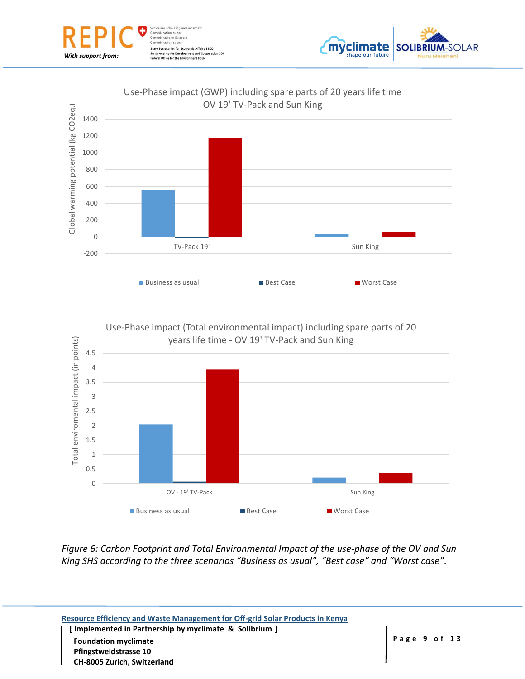![](_page_8_Picture_0.jpeg)

![](_page_8_Picture_1.jpeg)

#### Use-Phase impact (GWP) including spare parts of 20 years life time OV 19' TV-Pack and Sun King

![](_page_8_Figure_3.jpeg)

![](_page_8_Figure_4.jpeg)

*Figure 6: Carbon Footprint and Total Environmental Impact of the use-phase of the OV and Sun King SHS according to the three scenarios "Business as usual", "Best case" and "Worst case".*

![](_page_8_Picture_6.jpeg)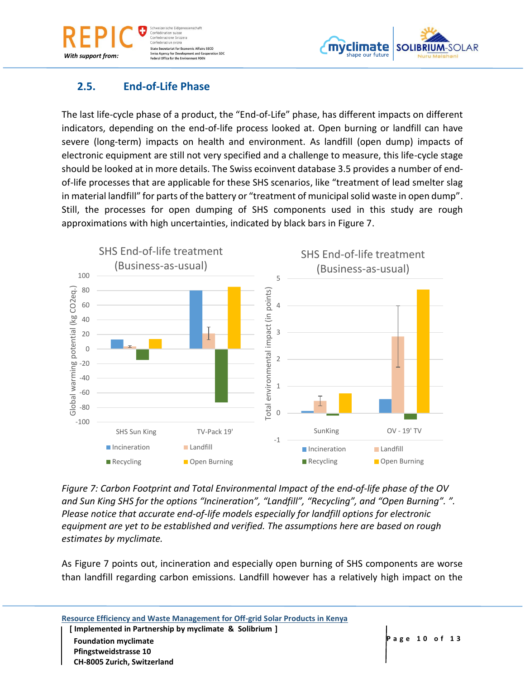veizerische Eidgen Confédération suisse Confederazione Svizzera Confederaziun svizra **State Secretariat for Economic Affairs SECO** ncy for Development and Cooperation SDC Office for the Environment FOEN

![](_page_9_Picture_1.jpeg)

### **2.5. End-of-Life Phase**

*With support from:*

The last life-cycle phase of a product, the "End-of-Life" phase, has different impacts on different indicators, depending on the end-of-life process looked at. Open burning or landfill can have severe (long-term) impacts on health and environment. As landfill (open dump) impacts of electronic equipment are still not very specified and a challenge to measure, this life-cycle stage should be looked at in more details. The Swiss ecoinvent database 3.5 provides a number of endof-life processes that are applicable for these SHS scenarios, like "treatment of lead smelter slag in material landfill" for parts of the battery or "treatment of municipal solid waste in open dump". Still, the processes for open dumping of SHS components used in this study are rough approximations with high uncertainties, indicated by black bars in Figure 7.

![](_page_9_Figure_4.jpeg)

*Figure 7: Carbon Footprint and Total Environmental Impact of the end-of-life phase of the OV and Sun King SHS for the options "Incineration", "Landfill", "Recycling", and "Open Burning". ". Please notice that accurate end-of-life models especially for landfill options for electronic equipment are yet to be established and verified. The assumptions here are based on rough estimates by myclimate.*

As Figure 7 points out, incineration and especially open burning of SHS components are worse than landfill regarding carbon emissions. Landfill however has a relatively high impact on the

| Resource Efficiency and Waste Management for Off-grid Solar Products in Kenya<br>[Implemented in Partnership by myclimate & Solibrium ] |               |
|-----------------------------------------------------------------------------------------------------------------------------------------|---------------|
| <b>Foundation myclimate</b>                                                                                                             | Page 10 of 13 |
| <b>Pfingstweidstrasse 10</b>                                                                                                            |               |
| CH-8005 Zurich, Switzerland                                                                                                             |               |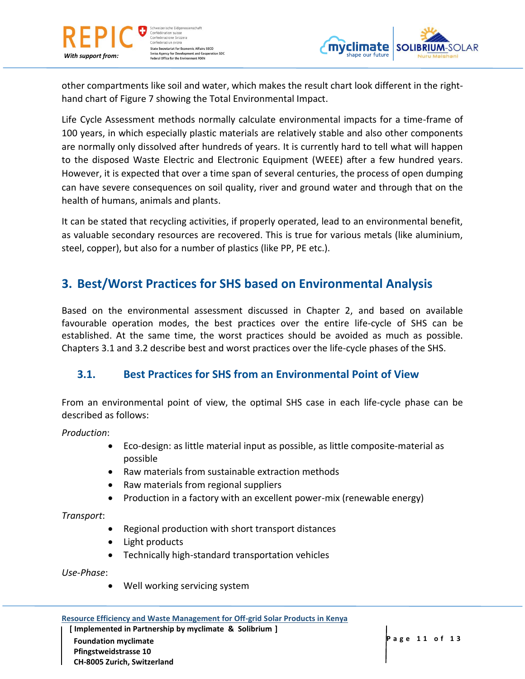![](_page_10_Picture_0.jpeg)

ichweizerische Eidgenor Confédération suisse Confederazione Svizzera Confederaziun svizra **State Secretariat for Economic Affairs SECO** Swiss Agency for Development and Cooperation SDC<br>Federal Office for the Environment FOEN

![](_page_10_Picture_2.jpeg)

other compartments like soil and water, which makes the result chart look different in the righthand chart of Figure 7 showing the Total Environmental Impact.

Life Cycle Assessment methods normally calculate environmental impacts for a time-frame of 100 years, in which especially plastic materials are relatively stable and also other components are normally only dissolved after hundreds of years. It is currently hard to tell what will happen to the disposed Waste Electric and Electronic Equipment (WEEE) after a few hundred years. However, it is expected that over a time span of several centuries, the process of open dumping can have severe consequences on soil quality, river and ground water and through that on the health of humans, animals and plants.

It can be stated that recycling activities, if properly operated, lead to an environmental benefit, as valuable secondary resources are recovered. This is true for various metals (like aluminium, steel, copper), but also for a number of plastics (like PP, PE etc.).

## **3. Best/Worst Practices for SHS based on Environmental Analysis**

Based on the environmental assessment discussed in Chapter 2, and based on available favourable operation modes, the best practices over the entire life-cycle of SHS can be established. At the same time, the worst practices should be avoided as much as possible. Chapters 3.1 and 3.2 describe best and worst practices over the life-cycle phases of the SHS.

#### **3.1. Best Practices for SHS from an Environmental Point of View**

From an environmental point of view, the optimal SHS case in each life-cycle phase can be described as follows:

*Production*:

- Eco-design: as little material input as possible, as little composite-material as possible
- Raw materials from sustainable extraction methods
- Raw materials from regional suppliers
- Production in a factory with an excellent power-mix (renewable energy)

*Transport*:

- Regional production with short transport distances
- Light products
- Technically high-standard transportation vehicles

*Use-Phase*:

Well working servicing system

**Resource Efficiency and Waste Management for Off-grid Solar Products in Kenya**

 **[ Implemented in Partnership by myclimate & Solibrium ] Foundation myclimate Page 11 of 13 Pfingstweidstrasse 10 CH-8005 Zurich, Switzerland**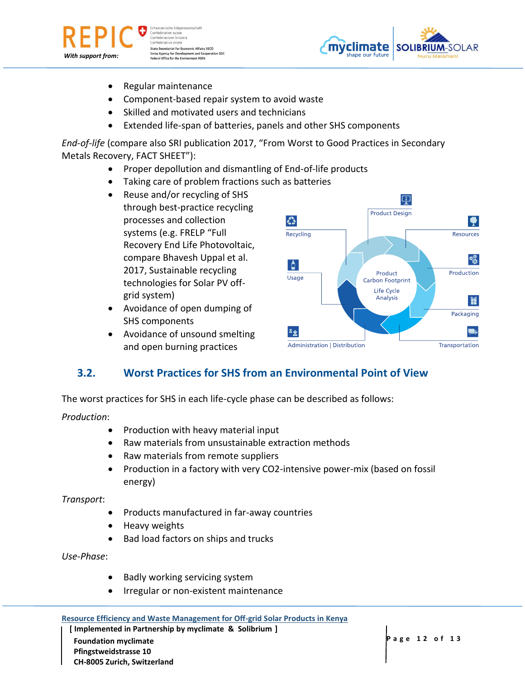![](_page_11_Picture_0.jpeg)

ichweizerische Eidgenor Confédération suisse Confederazione Svizzera Confederaziun svizra **State Secretariat for Economic Affairs SECO** Swiss Agency for Development and Cooperation SDC<br>Federal Office for the Environment FOEN

![](_page_11_Picture_2.jpeg)

- Regular maintenance
- Component-based repair system to avoid waste
- Skilled and motivated users and technicians
- Extended life-span of batteries, panels and other SHS components

*End-of-life* (compare also SRI publication 2017, "From Worst to Good Practices in Secondary Metals Recovery, FACT SHEET"):

- Proper depollution and dismantling of End-of-life products
- Taking care of problem fractions such as batteries
- Reuse and/or recycling of SHS through best-practice recycling processes and collection systems (e.g. FRELP "Full Recovery End Life Photovoltaic, compare Bhavesh Uppal et al. 2017, Sustainable recycling technologies for Solar PV offgrid system)
- Avoidance of open dumping of SHS components
- Avoidance of unsound smelting and open burning practices

![](_page_11_Figure_13.jpeg)

# **3.2. Worst Practices for SHS from an Environmental Point of View**

The worst practices for SHS in each life-cycle phase can be described as follows:

#### *Production*:

- Production with heavy material input
- Raw materials from unsustainable extraction methods
- Raw materials from remote suppliers
- Production in a factory with very CO2-intensive power-mix (based on fossil energy)

*Transport*:

- Products manufactured in far-away countries
- Heavy weights
- Bad load factors on ships and trucks

*Use-Phase*:

- Badly working servicing system
- Irregular or non-existent maintenance

 **[ Implemented in Partnership by myclimate & Solibrium ] Page 12 of 13 Page 12 of 13 Pfingstweidstrasse 10 CH-8005 Zurich, Switzerland**